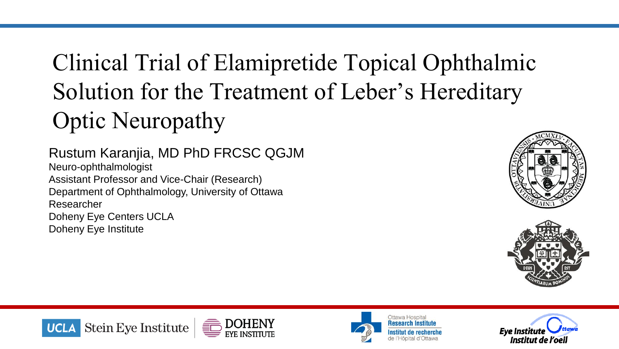# Clinical Trial of Elamipretide Topical Ophthalmic Solution for the Treatment of Leber's Hereditary Optic Neuropathy

### Rustum Karanjia, MD PhD FRCSC QGJM

Neuro-ophthalmologist Assistant Professor and Vice-Chair (Research) Department of Ophthalmology, University of Ottawa Researcher Doheny Eye Centers UCLA Doheny Eye Institute











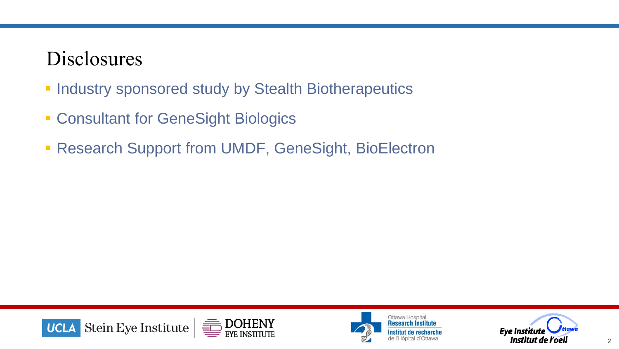### Disclosures

- **. Industry sponsored study by Stealth Biotherapeutics**
- **Example 2 Consultant for GeneSight Biologics**
- **Research Support from UMDF, GeneSight, BioElectron**





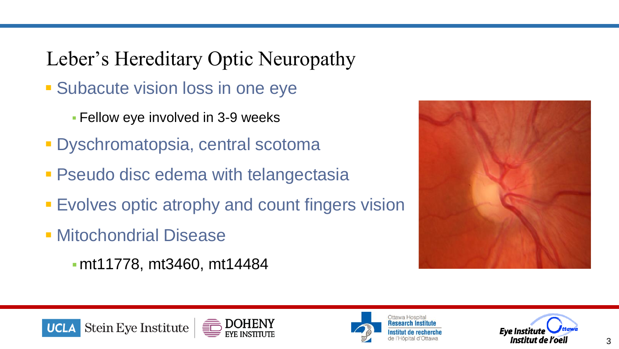Leber's Hereditary Optic Neuropathy

- **Example 3 Subacute vision loss in one eye** 
	- **E** Fellow eye involved in 3-9 weeks
- **· Dyschromatopsia, central scotoma**
- **Pseudo disc edema with telangectasia**
- **Evolves optic atrophy and count fingers vision**
- **E** Mitochondrial Disease
	- ▪mt11778, mt3460, mt14484







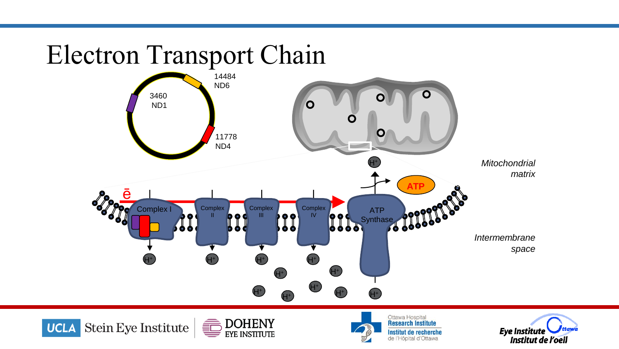# Electron Transport Chain







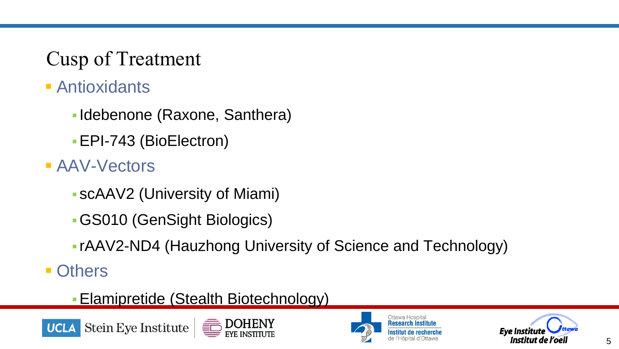### Cusp of Treatment

- Antioxidants
	- Idebenone (Raxone, Santhera)
	- **EPI-743 (BioElectron)**
- AAV-Vectors
	- scAAV2 (University of Miami)
	- ▪GS010 (GenSight Biologics)
	- rAAV2-ND4 (Hauzhong University of Science and Technology)
- Others
	- **Elamipretide (Stealth Biotechnology)**







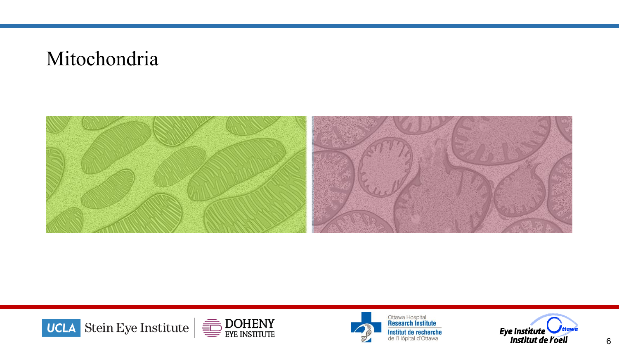### Mitochondria







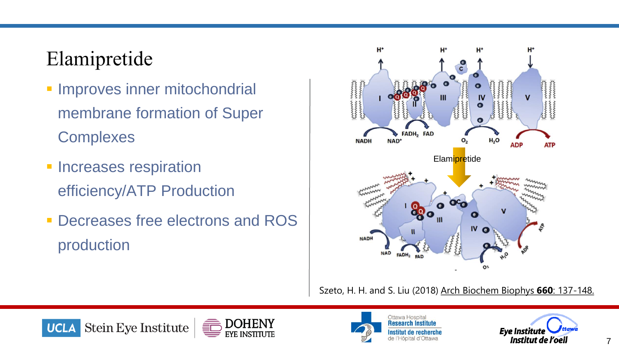### Elamipretide

- **· Improves inner mitochondrial** membrane formation of Super **Complexes**
- **· Increases respiration** efficiency/ATP Production
- **Decreases free electrons and ROS** production



Szeto, H. H. and S. Liu (2018) Arch Biochem Biophys **660**: 137-148.







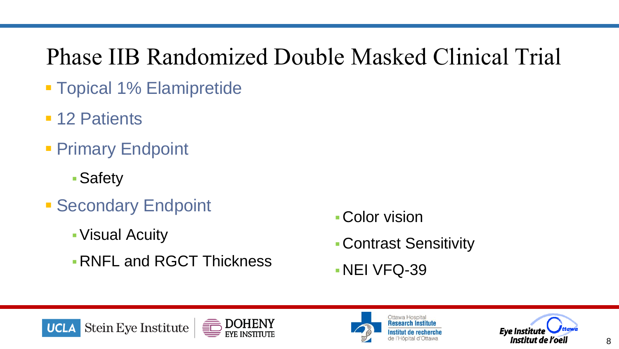# Phase IIB Randomized Double Masked Clinical Trial

- **Topical 1% Elamipretide**
- 12 Patients
- **Primary Endpoint** 
	- Safety
- **Execondary Endpoint** 
	- ▪Visual Acuity
	- **. RNFL and RGCT Thickness**
- **Color vision**
- ▪Contrast Sensitivity
- $\blacksquare$  NEI VFQ-39







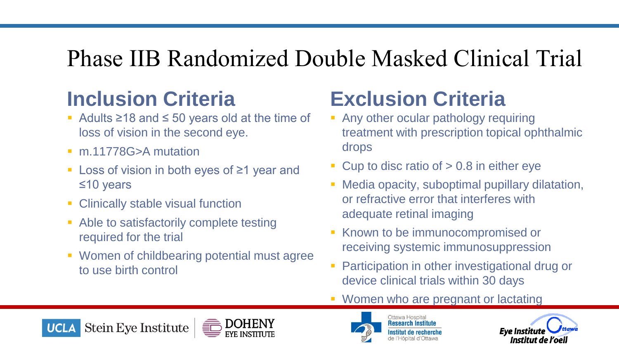# Phase IIB Randomized Double Masked Clinical Trial

## **Inclusion Criteria**

- Adults ≥18 and ≤ 50 years old at the time of loss of vision in the second eye.
- m.11778G>A mutation
- Loss of vision in both eyes of  $\geq 1$  year and ≤10 years
- **EXECUTE: Clinically stable visual function**
- Able to satisfactorily complete testing required for the trial
- Women of childbearing potential must agree to use birth control

## **Exclusion Criteria**

- **Any other ocular pathology requiring** treatment with prescription topical ophthalmic drops
- $\blacksquare$  Cup to disc ratio of  $> 0.8$  in either eye
- **EXECTE:** Media opacity, suboptimal pupillary dilatation, or refractive error that interferes with adequate retinal imaging
- Known to be immunocompromised or receiving systemic immunosuppression
- **Participation in other investigational drug or** device clinical trials within 30 days
- Women who are pregnant or lactating







Ottawa Hospital **Research Institute** 

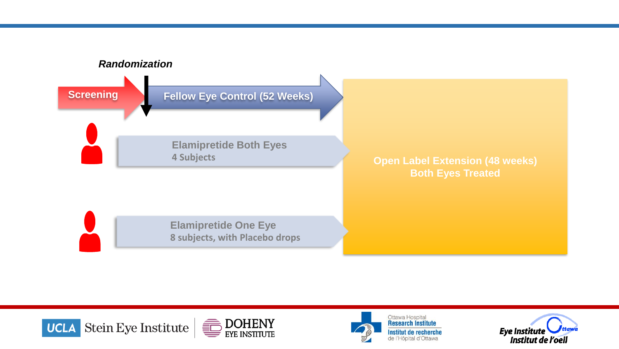





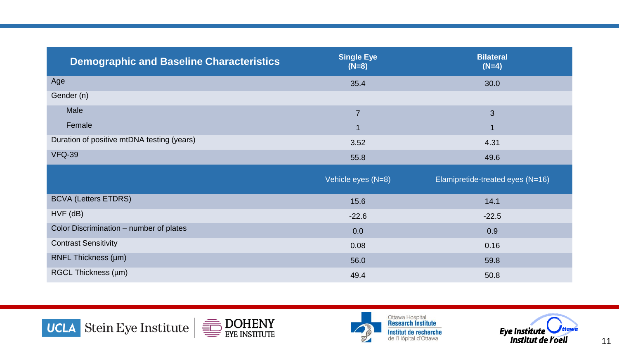| <b>Demographic and Baseline Characteristics</b> | <b>Single Eye</b><br>$(N=8)$ | <b>Bilateral</b><br>$(N=4)$      |
|-------------------------------------------------|------------------------------|----------------------------------|
| Age                                             | 35.4                         | 30.0                             |
| Gender (n)                                      |                              |                                  |
| Male                                            | $\overline{7}$               | 3                                |
| Female                                          |                              | $\blacktriangleleft$             |
| Duration of positive mtDNA testing (years)      | 3.52                         | 4.31                             |
| <b>VFQ-39</b>                                   | 55.8                         | 49.6                             |
|                                                 | Vehicle eyes (N=8)           | Elamipretide-treated eyes (N=16) |
| <b>BCVA (Letters ETDRS)</b>                     | 15.6                         | 14.1                             |
| $HVF$ ( $dB$ )                                  | $-22.6$                      | $-22.5$                          |
| Color Discrimination - number of plates         | 0.0                          | 0.9                              |
| <b>Contrast Sensitivity</b>                     | 0.08                         | 0.16                             |
| RNFL Thickness (µm)                             | 56.0                         | 59.8                             |
| RGCL Thickness (µm)                             | 49.4                         | 50.8                             |





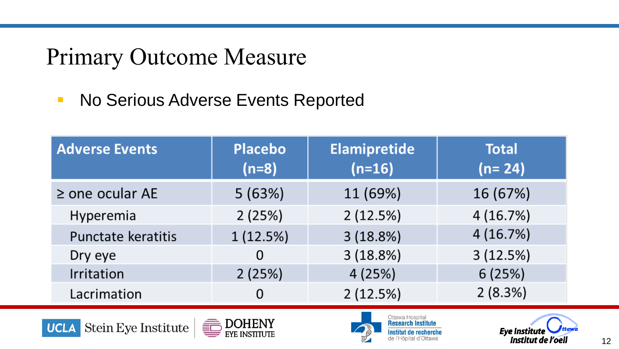## Primary Outcome Measure

■ No Serious Adverse Events Reported

| <b>Adverse Events</b> | <b>Placebo</b><br>$(n=8)$ | <b>Elamipretide</b><br>$(n=16)$ | <b>Total</b><br>$(n=24)$ |
|-----------------------|---------------------------|---------------------------------|--------------------------|
| $\ge$ one ocular AE   | 5(63%)                    | 11 (69%)                        | 16 (67%)                 |
| Hyperemia             | 2(25%)                    | 2(12.5%)                        | 4(16.7%)                 |
| Punctate keratitis    | 1(12.5%)                  | 3(18.8%)                        | 4(16.7%)                 |
| Dry eye               | 0                         | 3(18.8%)                        | 3(12.5%)                 |
| Irritation            | 2(25%)                    | 4(25%)                          | 6(25%)                   |
| Lacrimation           | 0                         | 2(12.5%)                        | 2(8.3%)                  |







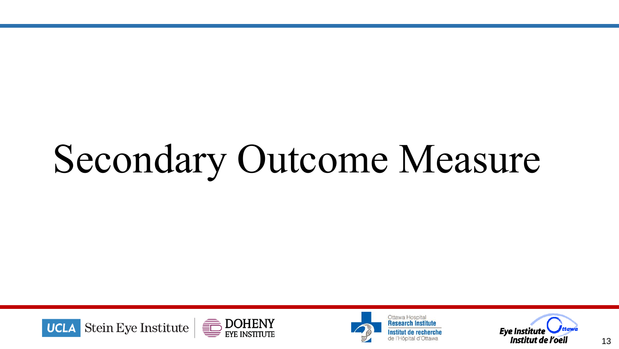# Secondary Outcome Measure





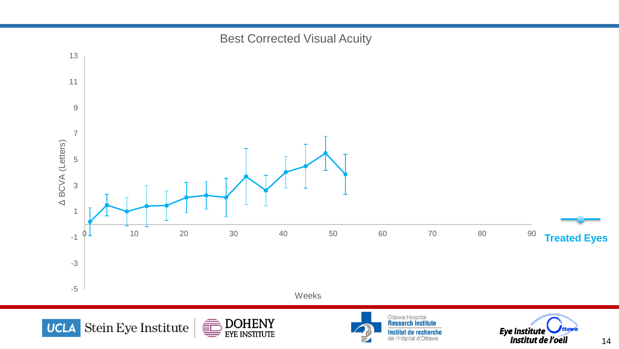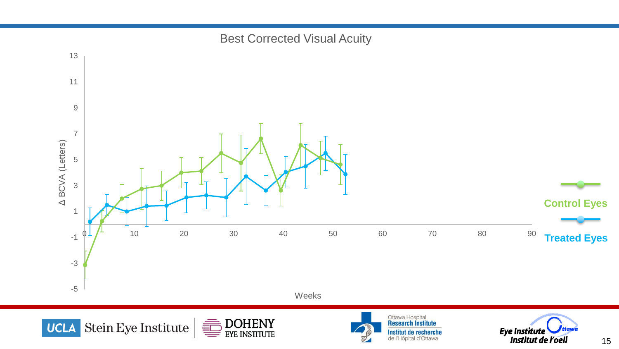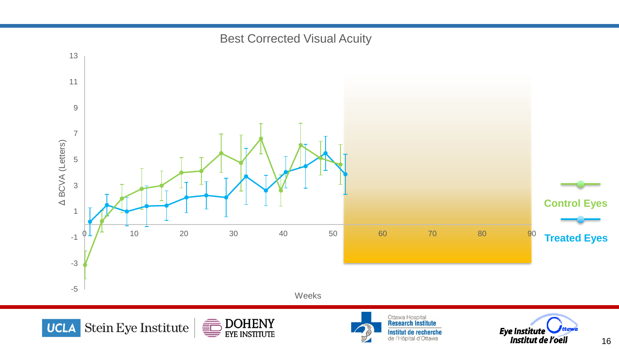

Institut de recherche<br>de l'Hôpital d'Ottawa

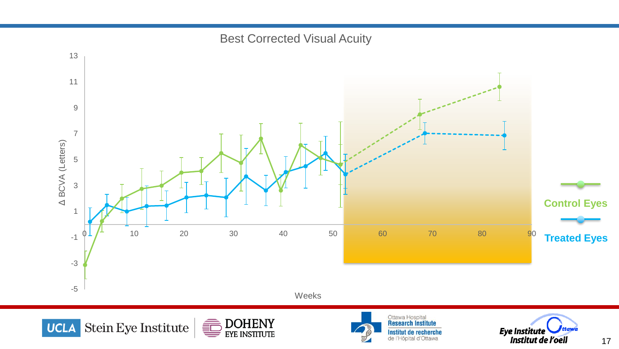

17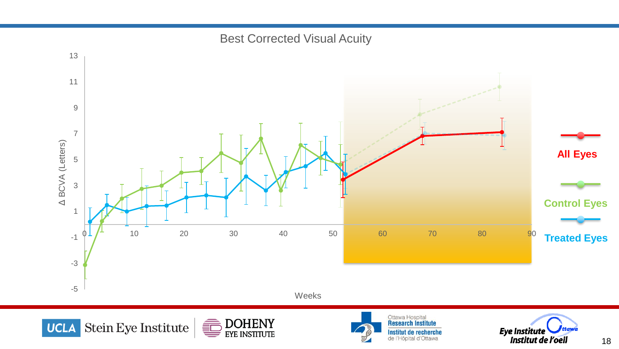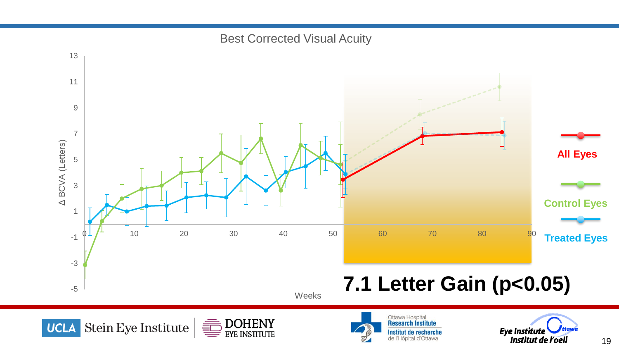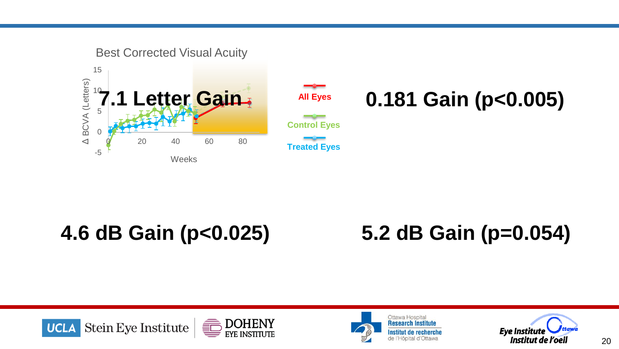

# 3 **4.6 dB Gain (p<0.025) 5.2 dB Gain (p=0.054)** $-\epsilon$

Weeks

# 5.2 dB Gain (p=0.054)  $\overline{\phantom{a}}$





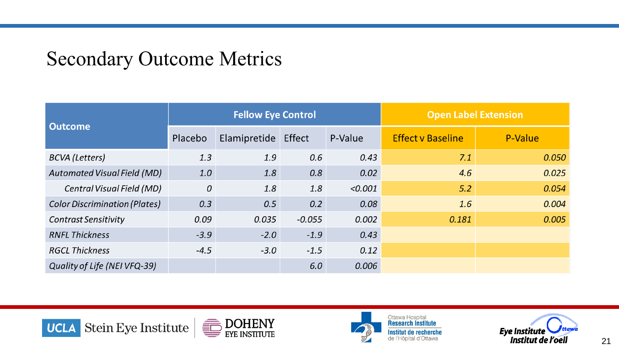### Secondary Outcome Metrics

| <b>Outcome</b>                       | <b>Fellow Eye Control</b> |              |          | <b>Open Label Extension</b> |                          |         |
|--------------------------------------|---------------------------|--------------|----------|-----------------------------|--------------------------|---------|
|                                      | Placebo                   | Elamipretide | Effect   | P-Value                     | <b>Effect v Baseline</b> | P-Value |
| <b>BCVA</b> (Letters)                | 1.3                       | 1.9          | 0.6      | 0.43                        | 7.1                      | 0.050   |
| <b>Automated Visual Field (MD)</b>   | 1.0                       | 1.8          | 0.8      | 0.02                        | 4.6                      | 0.025   |
| Central Visual Field (MD)            | 0                         | 1.8          | 1.8      | < 0.001                     | 5.2                      | 0.054   |
| <b>Color Discrimination (Plates)</b> | 0.3                       | 0.5          | 0.2      | 0.08                        | 1.6                      | 0.004   |
| <b>Contrast Sensitivity</b>          | 0.09                      | 0.035        | $-0.055$ | 0.002                       | 0.181                    | 0.005   |
| <b>RNFL Thickness</b>                | $-3.9$                    | $-2.0$       | $-1.9$   | 0.43                        |                          |         |
| <b>RGCL Thickness</b>                | $-4.5$                    | $-3.0$       | $-1.5$   | 0.12                        |                          |         |
| Quality of Life (NEI VFQ-39)         |                           |              | 6.0      | 0.006                       |                          |         |





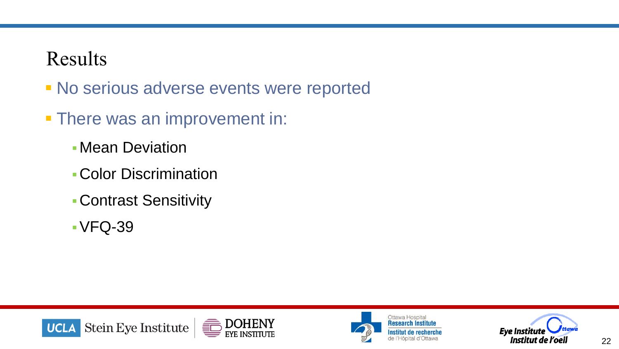### Results

- **No serious adverse events were reported**
- **There was an improvement in:** 
	- **Mean Deviation**
	- ▪Color Discrimination
	- ▪Contrast Sensitivity
	- $\cdot$  VFQ-39





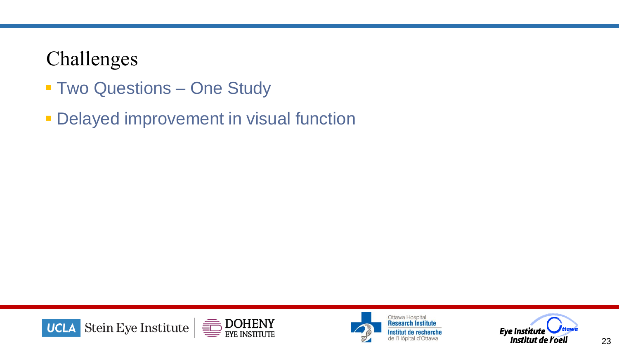### Challenges

- **Two Questions One Study**
- **Delayed improvement in visual function**







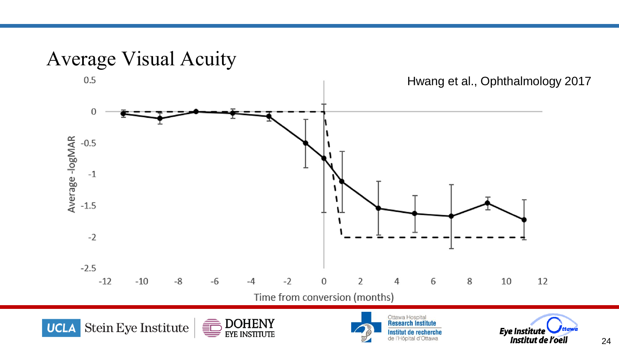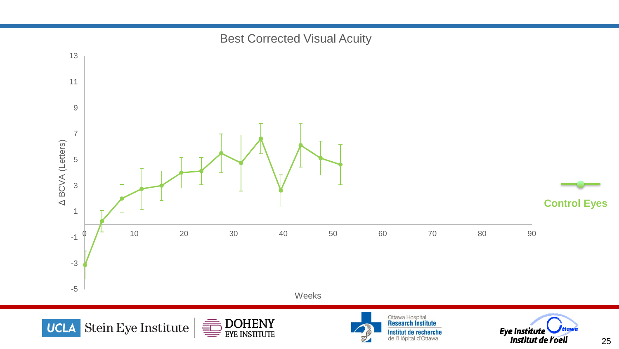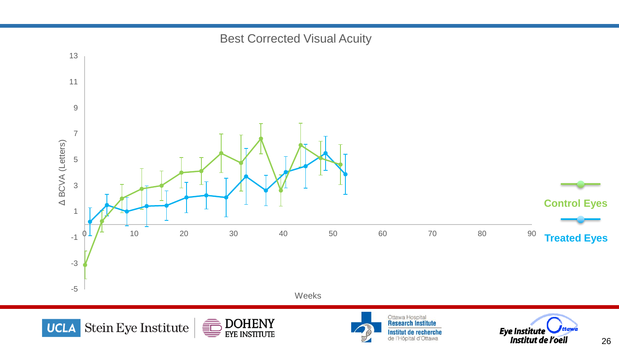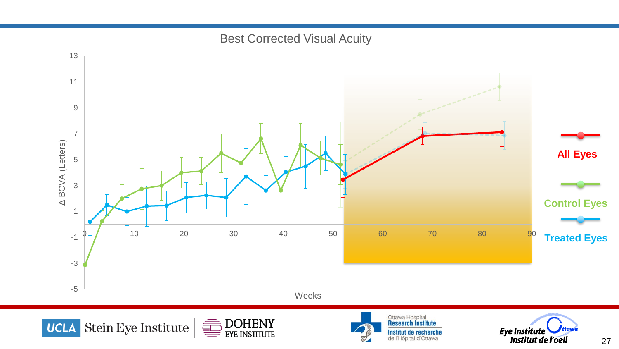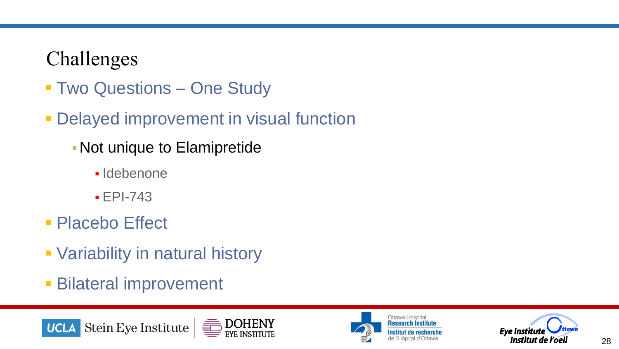### Challenges

- **Two Questions One Study**
- **Delayed improvement in visual function** 
	- ▪Not unique to Elamipretide
		- Idebenone
		- $E$  FPI-743
- Placebo Effect
- **Variability in natural history**
- **Bilateral improvement**







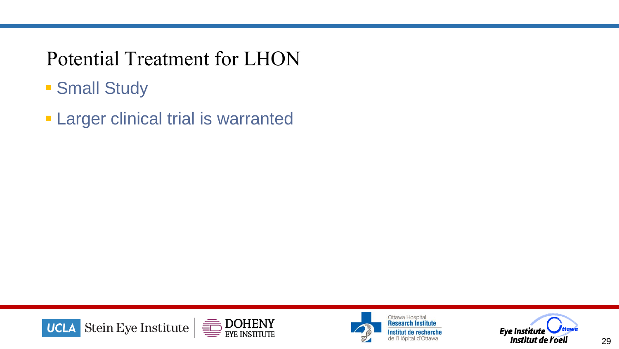### Potential Treatment for LHON

- **Small Study**
- **Example 7 Larger clinical trial is warranted**